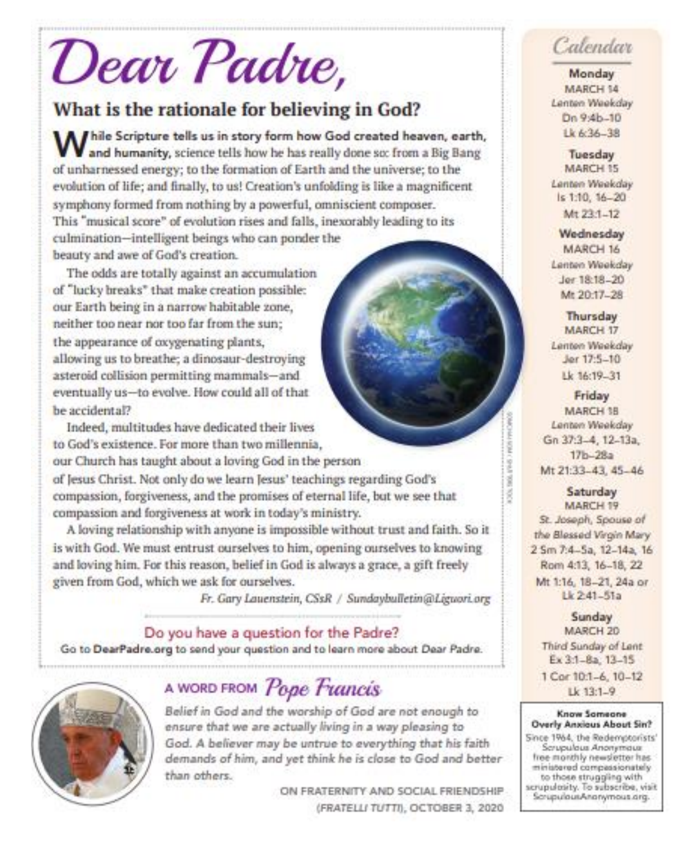# Dear Padre,

## What is the rationale for believing in God?

While Scripture tells us in story form how God created heaven, earth, and humanity, science tells how he has really done so: from a Big Bang of unharnessed energy; to the formation of Earth and the universe; to the evolution of life; and finally, to us! Creation's unfolding is like a magnificent symphony formed from nothing by a powerful, omniscient composer. This "musical score" of evolution rises and falls, inexorably leading to its culmination-intelligent beings who can ponder the beauty and awe of God's creation.

The odds are totally against an accumulation of "lucky breaks" that make creation possible: our Earth being in a narrow habitable zone. neither too near nor too far from the sun: the appearance of oxygenating plants, allowing us to breathe; a dinosaur-destroying asteroid collision permitting mammals-and eventually us-to evolve. How could all of that be accidental?

Indeed, multitudes have dedicated their lives to God's existence. For more than two millennia, our Church has taught about a loving God in the person of Jesus Christ. Not only do we learn Jesus' teachings regarding God's compassion, forgiveness, and the promises of eternal life, but we see that compassion and forgiveness at work in today's ministry.

A loving relationship with anyone is impossible without trust and faith. So it is with God. We must entrust ourselves to him, opening ourselves to knowing and loving him. For this reason, belief in God is always a grace, a gift freely given from God, which we ask for ourselves.

Fr. Gary Lauenstein, CSsR / Sundaybulletin@Liguori.org

Do you have a question for the Padre? Go to DearPadre.org to send your question and to learn more about Dear Padre.



## A WORD FROM Pope Francis

Belief in God and the worship of God are not enough to ensure that we are actually living in a way pleasing to God. A believer may be untrue to everything that his faith demands of him, and yet think he is close to God and better than others.

> ON FRATERNITY AND SOCIAL FRIENDSHIP (FRATELLI TUTTI), OCTOBER 3, 2020

# Calendar

Monday MARCH 14 Lenten Weekday Dn 9:4b-10 Lk 6:36-38

Tuesday MARCH 15 Lenten Weekday ls 1:10, 16-20 Mt 23:1-12

Wednesday MARCH 16 Lenten Weekday Jer 18:18-20 Mt 20:17-28

**Thursday** MARCH 17 Lenten Weekday Jer 17:5-10 Lk 16:19-31

Friday MARCH 3B Lenten Weekday Gn 37:3-4, 12-13a.  $17b - 28a$ Mt 21:33-43, 45-46

Saturday MARCH 19 St. Joseph, Spouse of the Blessed Virgin Mary 2 Sm 7:4-5a, 12-14a, 16 Rom 4:13, 16-18, 22 Mt 1:16, 18-21, 24a or Lk 2-41-51a

Sunday MARCH 20 Third Sunday of Lent Ex 3:1-8a, 13-15 1 Cor 10:1-6, 10-12 Lk 13:1-9

#### Know Sameane Overly Anxious About Sin?

Since 1964, the Redemptorists' Scrupulous Anonymous free monthly newsletter has ministered compassionately to those struggling with scrupulatity. To subscribe, visit ScrupulousAnarymous.cirg.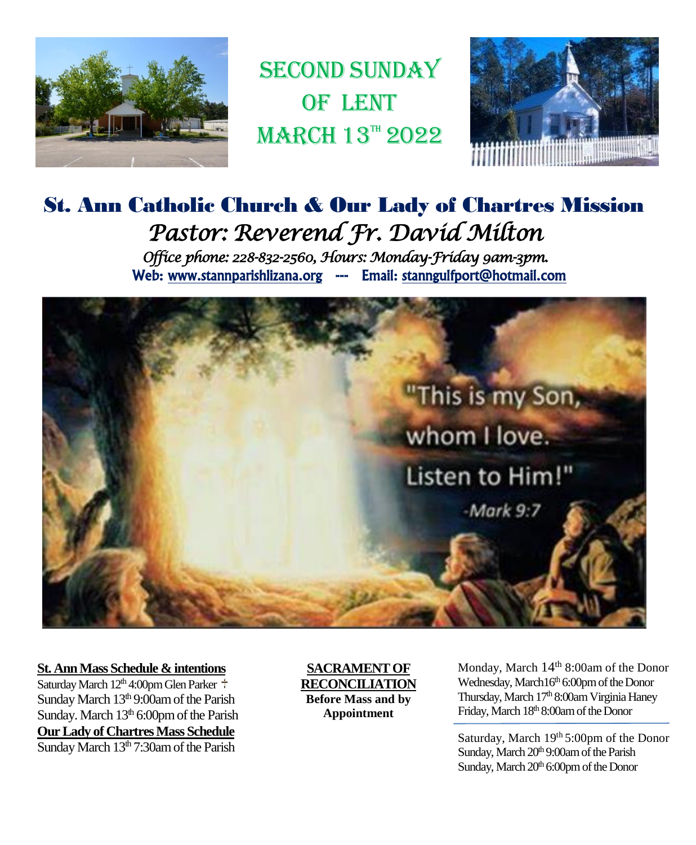

**SECOND SUNDAY** OF LENT  $MARCH$  13<sup>TH</sup> 2022



## St. Ann Catholic Church & Our Lady of Chartres Mission *Pastor: Reverend Fr. David Milton Office phone: 228-832-2560, Hours: Monday-Friday 9am-3pm.*  Web: www.stannparishlizana.org --- Email: stanngulfport@hotmail.com



#### **St. Ann Mass Schedule & intentions**

Saturday March  $12<sup>th</sup> 4:00$ pm Glen Parker Sunday March  $13<sup>th</sup>$  9:00am of the Parish Sunday. March 13<sup>th</sup> 6:00pm of the Parish **Our Lady of Chartres Mass Schedule** Sunday March  $13<sup>th</sup>$  7:30am of the Parish

**SACRAMENT OF RECONCILIATION Before Mass and by Appointment**

 $M$ arch 14 8:00am Glund, Wednesday, March16<sup>th</sup> 6:00pm of the Donor Thursday, March 17<sup>th</sup> 8:00am Virginia Haney Friday, March 18th 8:00am of the Donor Monday, March 14<sup>th</sup> 8:00am of the Donor

Saturday, March 19th 5:00pm of the Donor Sunday, March 20<sup>th</sup> 9:00am of the Parish Sunday, March 20<sup>th</sup> 6:00pm of the Donor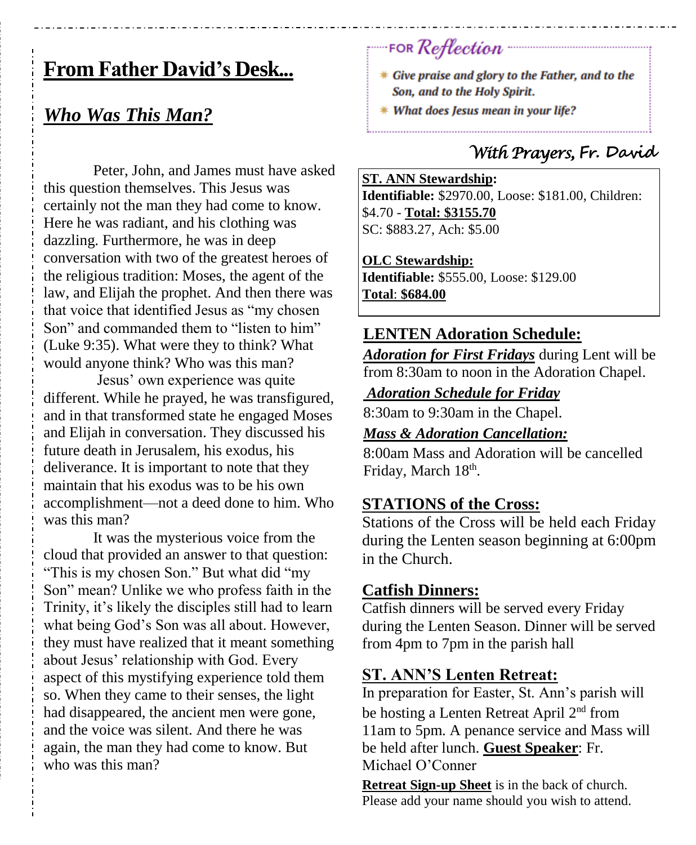# **From Father David's Desk...**

## *Who Was This Man?*

Peter, John, and James must have asked this question themselves. This Jesus was certainly not the man they had come to know. Here he was radiant, and his clothing was dazzling. Furthermore, he was in deep conversation with two of the greatest heroes of the religious tradition: Moses, the agent of the law, and Elijah the prophet. And then there was that voice that identified Jesus as "my chosen Son" and commanded them to "listen to him" (Luke 9:35). What were they to think? What would anyone think? Who was this man?

Jesus' own experience was quite different. While he prayed, he was transfigured, and in that transformed state he engaged Moses and Elijah in conversation. They discussed his future death in Jerusalem, his exodus, his deliverance. It is important to note that they maintain that his exodus was to be his own accomplishment—not a deed done to him. Who was this man?

It was the mysterious voice from the cloud that provided an answer to that question: "This is my chosen Son." But what did "my Son" mean? Unlike we who profess faith in the Trinity, it's likely the disciples still had to learn what being God's Son was all about. However, they must have realized that it meant something about Jesus' relationship with God. Every aspect of this mystifying experience told them so. When they came to their senses, the light had disappeared, the ancient men were gone, and the voice was silent. And there he was again, the man they had come to know. But who was this man?

**FOR Reflection** 

- \* Give praise and glory to the Father, and to the Son, and to the Holy Spirit.
- \* What does Jesus mean in your life?

## *With Prayers,* **Fr. David**

#### **ST. ANN Stewardship:**

**Identifiable:** \$2970.00, Loose: \$181.00, Children: \$4.70 - **Total: \$3155.70** SC: \$883.27, Ach: \$5.00

#### **OLC Stewardship:**

**Identifiable:** \$555.00, Loose: \$129.00 **Total**: **\$684.00**

### **LENTEN Adoration Schedule:**

*Adoration for First Fridays* during Lent will be from 8:30am to noon in the Adoration Chapel.

#### *Adoration Schedule for Friday*

8:30am to 9:30am in the Chapel.

#### *Mass & Adoration Cancellation:*

8:00am Mass and Adoration will be cancelled Friday, March 18<sup>th</sup>.

## **STATIONS of the Cross:**

Stations of the Cross will be held each Friday during the Lenten season beginning at 6:00pm in the Church.

### **Catfish Dinners:**

Catfish dinners will be served every Friday during the Lenten Season. Dinner will be served from 4pm to 7pm in the parish hall

### **ST. ANN'S Lenten Retreat:**

In preparation for Easter, St. Ann's parish will be hosting a Lenten Retreat April 2nd from 11am to 5pm. A penance service and Mass will be held after lunch. **Guest Speaker**: Fr. Michael O'Conner

**Retreat Sign-up Sheet** is in the back of church. Please add your name should you wish to attend.